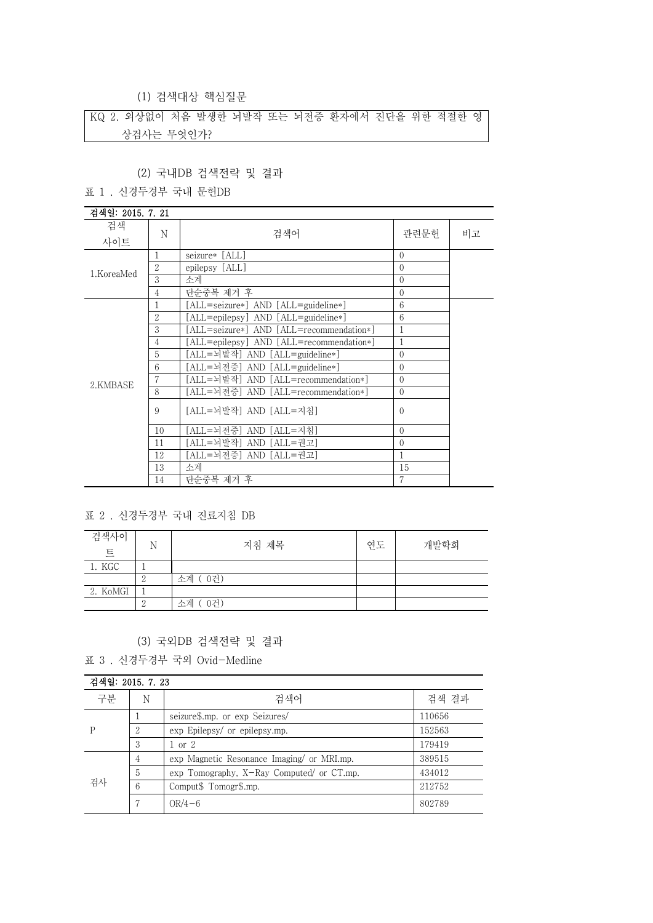(1) 검색대상 핵심질문

KQ 2. 외상없이 처음 발생한 뇌발작 또는 뇌전증 환자에서 진단을 위한 적절한 영 상검사는 무엇인가?

## (2) 국내DB 검색전략 및 결과

표 1 . 신경두경부 국내 문헌DB

| 검색일: 2015. 7. 21 |                |                                          |              |    |
|------------------|----------------|------------------------------------------|--------------|----|
| 검색               |                |                                          |              |    |
| 사이트              | N              | 검색어                                      | 관련문헌         | 비고 |
|                  |                | seizure* [ALL]                           | $\Omega$     |    |
| 1.KoreaMed       | $\overline{2}$ | epilepsy [ALL]                           | $\theta$     |    |
|                  | 3              | 소계                                       | $\mathbf{0}$ |    |
|                  | 4              | 단순중복 제거 후                                | $\Omega$     |    |
|                  |                | [ALL=seizure*] AND [ALL=guideline*]      | 6            |    |
|                  | 2              | [ALL=epilepsy] AND [ALL=guideline*]      | 6            |    |
|                  | 3              | [ALL=seizure*] AND [ALL=recommendation*] | 1            |    |
|                  | $\overline{4}$ | [ALL=epilepsy] AND [ALL=recommendation*] | $\mathbf{1}$ |    |
|                  | 5              | [ALL=뇌발작] AND [ALL=guideline*]           | $\mathbf{0}$ |    |
|                  | 6              | [ALL=뇌전증] AND [ALL=guideline*]           | $\mathbf{0}$ |    |
| 2.KMBASE         | 7              | [ALL=뇌발작] AND [ALL=recommendation*]      | $\mathbf{0}$ |    |
|                  | 8              | [ALL=뇌전증] AND [ALL=recommendation*]      | $\mathbf{0}$ |    |
|                  | 9              | [ALL=뇌발작] AND [ALL=지침]                   | $\theta$     |    |
|                  | 10             | [ALL=뇌전증] AND [ALL=지침]                   | $\Omega$     |    |
|                  | 11             | [ALL=뇌발작] AND [ALL=권고]                   | 0            |    |
|                  | 12             | [ALL=뇌전증] AND [ALL=권고]                   | $\mathbf{1}$ |    |
|                  | 13             | 소계                                       | 15           |    |
|                  | 14             | 단순중복 제거 후                                | 7            |    |

### 표 2 . 신경두경부 국내 진료지침 DB

| 검색사이<br>트 | N | 지침 제목    | 연도 | 개발학회 |
|-----------|---|----------|----|------|
| 1. KGC    |   |          |    |      |
|           | ∠ | 소계 (0건)  |    |      |
| 2. KoMGI  |   |          |    |      |
|           |   | 0건<br>소계 |    |      |

### (3) 국외DB 검색전략 및 결과

표 3 . 신경두경부 국외 Ovid-Medline

|    | 검색일: 2015. 7. 23 |                                           |        |  |
|----|------------------|-------------------------------------------|--------|--|
| 구분 | N                | 검색어                                       | 검색 결과  |  |
| Р  |                  | seizure\$.mp. or exp Seizures/            | 110656 |  |
|    | റ<br>Δ           | exp Epilepsy/ or epilepsy.mp.             | 152563 |  |
|    | 3                | 1 or 2                                    | 179419 |  |
| 검사 | 4                | exp Magnetic Resonance Imaging or MRI.mp. | 389515 |  |
|    | 5                | exp Tomography, X-Ray Computed/ or CT.mp. | 434012 |  |
|    | 6                | Comput\$ Tomogr\$.mp.                     | 212752 |  |
|    |                  | $OR/4-6$                                  | 802789 |  |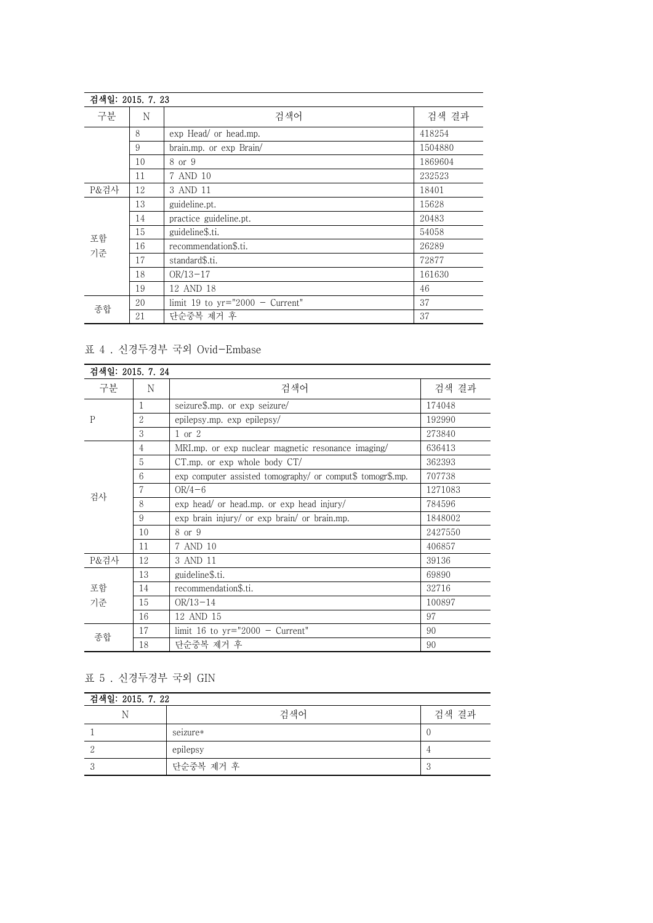| 검색일: 2015. 7. 23 |    |                                   |         |
|------------------|----|-----------------------------------|---------|
| 구분               | N  | 검색어                               | 검색 결과   |
|                  | 8  | exp Head/ or head.mp.             | 418254  |
|                  | 9  | brain.mp. or exp Brain/           | 1504880 |
|                  | 10 | 8 or 9                            | 1869604 |
|                  | 11 | 7 AND 10                          | 232523  |
| P&검사             | 12 | 3 AND 11                          | 18401   |
| 포함<br>기준         | 13 | guideline.pt.                     | 15628   |
|                  | 14 | practice guideline.pt.            | 20483   |
|                  | 15 | guideline\$.ti.                   | 54058   |
|                  | 16 | recommendation\$.ti.              | 26289   |
|                  | 17 | standard\$.ti.                    | 72877   |
|                  | 18 | $OR/13-17$                        | 161630  |
|                  | 19 | 12 AND 18                         | 46      |
| 종합               | 20 | limit 19 to $yr="2000 - Current"$ | 37      |
|                  | 21 | 단순중복 제거 후                         | 37      |

# 표 4 . 신경두경부 국외 Ovid-Embase

| 검색일: 2015, 7, 24 |    |                                                            |         |
|------------------|----|------------------------------------------------------------|---------|
| 구분               | N  | 검색어                                                        | 검색 결과   |
| $\mathbf{P}$     | 1  | seizure\$.mp. or exp seizure/                              | 174048  |
|                  | 2  | epilepsy.mp. exp epilepsy/                                 | 192990  |
|                  | 3  | $1$ or $2$                                                 | 273840  |
| 검사               | 4  | MRI.mp. or exp nuclear magnetic resonance imaging/         | 636413  |
|                  | 5  | $CT.mp$ , or $exp$ whole body $CT/$                        | 362393  |
|                  | 6  | exp computer assisted tomography/ or comput\$ tomogr\$.mp. | 707738  |
|                  |    | $OR/4-6$                                                   | 1271083 |
|                  | 8  | $\exp$ head/ or head.mp. or $\exp$ head injury/            | 784596  |
|                  | 9  | exp brain injury/ or exp brain/ or brain.mp.               | 1848002 |
|                  | 10 | 8 or 9                                                     | 2427550 |
|                  | 11 | 7 AND 10                                                   | 406857  |
| P&검사             | 12 | 3 AND 11                                                   | 39136   |
| 포함<br>기준         | 13 | guideline\$.ti.                                            | 69890   |
|                  | 14 | recommendation\$.ti.                                       | 32716   |
|                  | 15 | $OR/13-14$                                                 | 100897  |
|                  | 16 | 12 AND 15                                                  | 97      |
| 종합               | 17 | limit 16 to $yr="2000 - Current"$                          | 90      |
|                  | 18 | 단순중복 제거 후                                                  | 90      |

표 5 . 신경두경부 국외 GIN

| 검색일: 2015. 7. 22 |           |       |  |
|------------------|-----------|-------|--|
| N                | 검색어       | 검색 결과 |  |
|                  | seizure*  |       |  |
|                  | epilepsy  |       |  |
|                  | 단순중복 제거 후 |       |  |